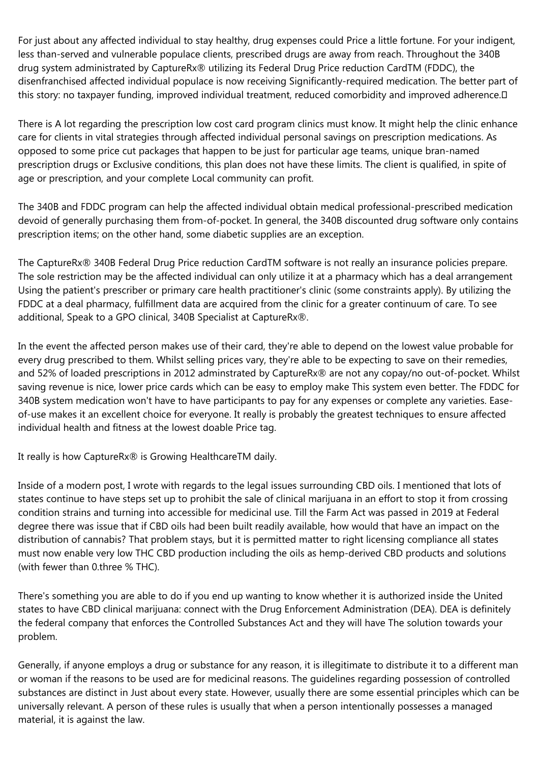For just about any affected individual to stay healthy, drug expenses could Price a little fortune. For your indigent, less than-served and vulnerable populace clients, prescribed drugs are away from reach. Throughout the 340B drug system administrated by CaptureRx® utilizing its Federal Drug Price reduction CardTM (FDDC), the disenfranchised affected individual populace is now receiving Significantly-required medication. The better part of this story: no taxpayer funding, improved individual treatment, reduced comorbidity and improved adherence.

There is A lot regarding the prescription low cost card program clinics must know. It might help the clinic enhance care for clients in vital strategies through affected individual personal savings on prescription medications. As opposed to some price cut packages that happen to be just for particular age teams, unique bran-named prescription drugs or Exclusive conditions, this plan does not have these limits. The client is qualified, in spite of age or prescription, and your complete Local community can profit.

The 340B and FDDC program can help the affected individual obtain medical professional-prescribed medication devoid of generally purchasing them from-of-pocket. In general, the 340B discounted drug software only contains prescription items; on the other hand, some diabetic supplies are an exception.

The CaptureRx® 340B Federal Drug Price reduction CardTM software is not really an insurance policies prepare. The sole restriction may be the affected individual can only utilize it at a pharmacy which has a deal arrangement Using the patient's prescriber or primary care health practitioner's clinic (some constraints apply). By utilizing the FDDC at a deal pharmacy, fulfillment data are acquired from the clinic for a greater continuum of care. To see additional, Speak to a GPO clinical, 340B Specialist at CaptureRx®.

In the event the affected person makes use of their card, they're able to depend on the lowest value probable for every drug prescribed to them. Whilst selling prices vary, they're able to be expecting to save on their remedies, and 52% of loaded prescriptions in 2012 adminstrated by CaptureRx® are not any copay/no out-of-pocket. Whilst saving revenue is nice, lower price cards which can be easy to employ make This system even better. The FDDC for 340B system medication won't have to have participants to pay for any expenses or complete any varieties. Easeof-use makes it an excellent choice for everyone. It really is probably the greatest techniques to ensure affected individual health and fitness at the lowest doable Price tag.

It really is how CaptureRx® is Growing HealthcareTM daily.

Inside of a modern post, I wrote with regards to the legal issues surrounding CBD oils. I mentioned that lots of states continue to have steps set up to prohibit the sale of clinical marijuana in an effort to stop it from crossing condition strains and turning into accessible for medicinal use. Till the Farm Act was passed in 2019 at Federal degree there was issue that if CBD oils had been built readily available, how would that have an impact on the distribution of cannabis? That problem stays, but it is permitted matter to right licensing compliance all states must now enable very low THC CBD production including the oils as hemp-derived CBD products and solutions (with fewer than 0.three % THC).

There's something you are able to do if you end up wanting to know whether it is authorized inside the United states to have CBD clinical marijuana: connect with the Drug Enforcement Administration (DEA). DEA is definitely the federal company that enforces the Controlled Substances Act and they will have The solution towards your problem.

Generally, if anyone employs a drug or substance for any reason, it is illegitimate to distribute it to a different man or woman if the reasons to be used are for medicinal reasons. The guidelines regarding possession of controlled substances are distinct in Just about every state. However, usually there are some essential principles which can be universally relevant. A person of these rules is usually that when a person intentionally possesses a managed material, it is against the law.